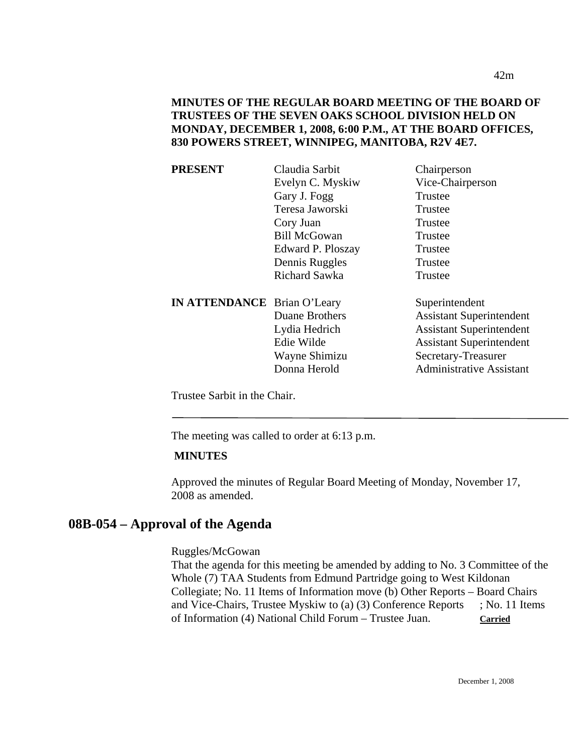| PRESENT                            | Claudia Sarbit      | Chairperson                     |
|------------------------------------|---------------------|---------------------------------|
|                                    | Evelyn C. Myskiw    | Vice-Chairperson                |
|                                    | Gary J. Fogg        | Trustee                         |
|                                    | Teresa Jaworski     | Trustee                         |
|                                    | Cory Juan           | Trustee                         |
|                                    | <b>Bill McGowan</b> | Trustee                         |
|                                    | Edward P. Ploszay   | Trustee                         |
|                                    | Dennis Ruggles      | Trustee                         |
|                                    | Richard Sawka       | Trustee                         |
| <b>IN ATTENDANCE</b> Brian O'Leary |                     | Superintendent                  |
|                                    | Duane Brothers      | <b>Assistant Superintendent</b> |
|                                    | Lydia Hedrich       | <b>Assistant Superintendent</b> |
|                                    | Edie Wilde          | <b>Assistant Superintendent</b> |
|                                    | Wayne Shimizu       | Secretary-Treasurer             |
|                                    | Donna Herold        | <b>Administrative Assistant</b> |
|                                    |                     |                                 |

Trustee Sarbit in the Chair.

The meeting was called to order at 6:13 p.m.

#### **MINUTES**

Approved the minutes of Regular Board Meeting of Monday, November 17, 2008 as amended.

### **08B-054 – Approval of the Agenda**

Ruggles/McGowan

That the agenda for this meeting be amended by adding to No. 3 Committee of the Whole (7) TAA Students from Edmund Partridge going to West Kildonan Collegiate; No. 11 Items of Information move (b) Other Reports – Board Chairs and Vice-Chairs, Trustee Myskiw to (a) (3) Conference Reports ; No. 11 Items of Information (4) National Child Forum – Trustee Juan. **Carried**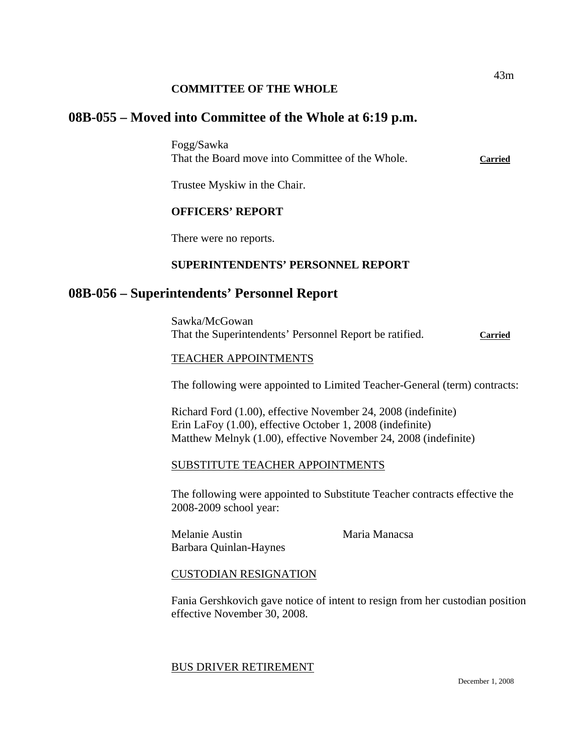### **COMMITTEE OF THE WHOLE**

# **08B-055 – Moved into Committee of the Whole at 6:19 p.m.**

Fogg/Sawka That the Board move into Committee of the Whole. **Carried**

Trustee Myskiw in the Chair.

### **OFFICERS' REPORT**

There were no reports.

### **SUPERINTENDENTS' PERSONNEL REPORT**

### **08B-056 – Superintendents' Personnel Report**

Sawka/McGowan That the Superintendents' Personnel Report be ratified. **Carried**

# TEACHER APPOINTMENTS

The following were appointed to Limited Teacher-General (term) contracts:

Richard Ford (1.00), effective November 24, 2008 (indefinite) Erin LaFoy (1.00), effective October 1, 2008 (indefinite) Matthew Melnyk (1.00), effective November 24, 2008 (indefinite)

### SUBSTITUTE TEACHER APPOINTMENTS

The following were appointed to Substitute Teacher contracts effective the 2008-2009 school year:

Melanie Austin Maria Manacsa Barbara Quinlan-Haynes

### CUSTODIAN RESIGNATION

Fania Gershkovich gave notice of intent to resign from her custodian position effective November 30, 2008.

#### BUS DRIVER RETIREMENT

43m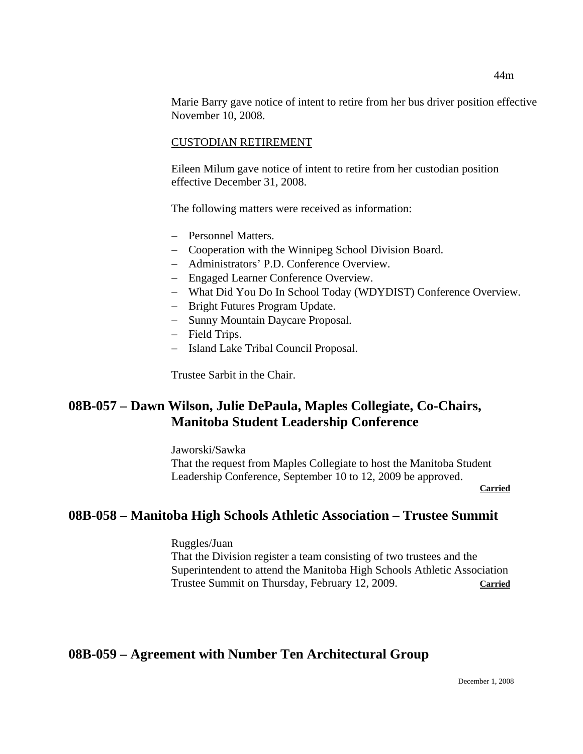Marie Barry gave notice of intent to retire from her bus driver position effective November 10, 2008.

#### CUSTODIAN RETIREMENT

Eileen Milum gave notice of intent to retire from her custodian position effective December 31, 2008.

The following matters were received as information:

- − Personnel Matters.
- − Cooperation with the Winnipeg School Division Board.
- − Administrators' P.D. Conference Overview.
- − Engaged Learner Conference Overview.
- − What Did You Do In School Today (WDYDIST) Conference Overview.
- − Bright Futures Program Update.
- − Sunny Mountain Daycare Proposal.
- − Field Trips.
- − Island Lake Tribal Council Proposal.

Trustee Sarbit in the Chair.

# **08B-057 – Dawn Wilson, Julie DePaula, Maples Collegiate, Co-Chairs, Manitoba Student Leadership Conference**

Jaworski/Sawka That the request from Maples Collegiate to host the Manitoba Student Leadership Conference, September 10 to 12, 2009 be approved. **Carried** 

### **08B-058 – Manitoba High Schools Athletic Association – Trustee Summit**

Ruggles/Juan That the Division register a team consisting of two trustees and the Superintendent to attend the Manitoba High Schools Athletic Association Trustee Summit on Thursday, February 12, 2009. **Carried**

# **08B-059 – Agreement with Number Ten Architectural Group**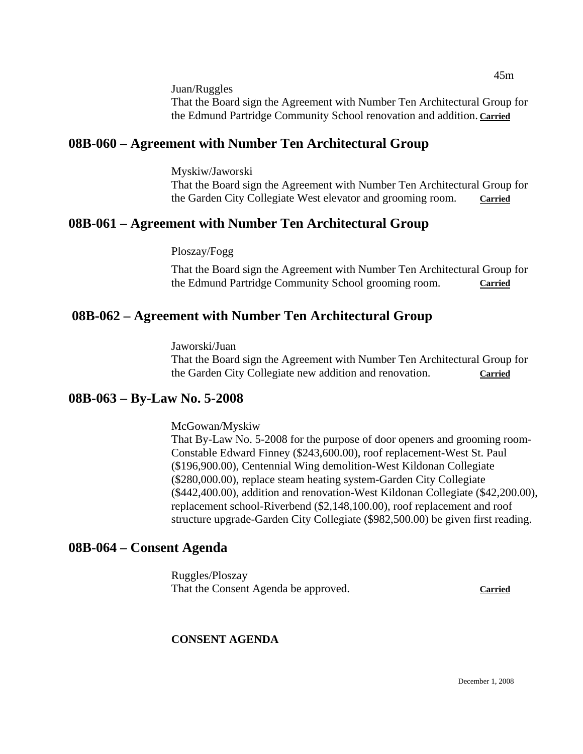Juan/Ruggles That the Board sign the Agreement with Number Ten Architectural Group for the Edmund Partridge Community School renovation and addition. **Carried**

# **08B-060 – Agreement with Number Ten Architectural Group**

Myskiw/Jaworski That the Board sign the Agreement with Number Ten Architectural Group for the Garden City Collegiate West elevator and grooming room. **Carried**

# **08B-061 – Agreement with Number Ten Architectural Group**

### Ploszay/Fogg

That the Board sign the Agreement with Number Ten Architectural Group for the Edmund Partridge Community School grooming room. **Carried**

# **08B-062 – Agreement with Number Ten Architectural Group**

Jaworski/Juan That the Board sign the Agreement with Number Ten Architectural Group for the Garden City Collegiate new addition and renovation. **Carried**

# **08B-063 – By-Law No. 5-2008**

McGowan/Myskiw

That By-Law No. 5-2008 for the purpose of door openers and grooming room-Constable Edward Finney (\$243,600.00), roof replacement-West St. Paul (\$196,900.00), Centennial Wing demolition-West Kildonan Collegiate (\$280,000.00), replace steam heating system-Garden City Collegiate (\$442,400.00), addition and renovation-West Kildonan Collegiate (\$42,200.00), replacement school-Riverbend (\$2,148,100.00), roof replacement and roof structure upgrade-Garden City Collegiate (\$982,500.00) be given first reading.

# **08B-064 – Consent Agenda**

Ruggles/Ploszay That the Consent Agenda be approved. **Carried**

# **CONSENT AGENDA**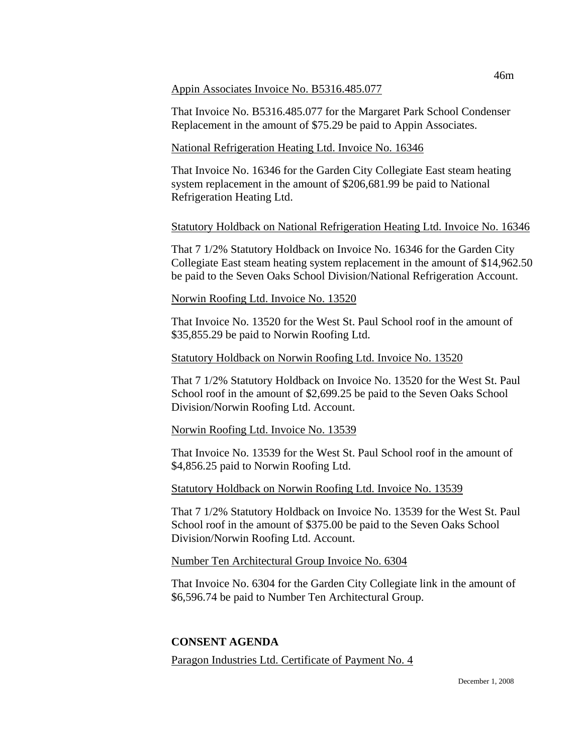#### Appin Associates Invoice No. B5316.485.077

That Invoice No. B5316.485.077 for the Margaret Park School Condenser Replacement in the amount of \$75.29 be paid to Appin Associates.

#### National Refrigeration Heating Ltd. Invoice No. 16346

That Invoice No. 16346 for the Garden City Collegiate East steam heating system replacement in the amount of \$206,681.99 be paid to National Refrigeration Heating Ltd.

#### Statutory Holdback on National Refrigeration Heating Ltd. Invoice No. 16346

That 7 1/2% Statutory Holdback on Invoice No. 16346 for the Garden City Collegiate East steam heating system replacement in the amount of \$14,962.50 be paid to the Seven Oaks School Division/National Refrigeration Account.

#### Norwin Roofing Ltd. Invoice No. 13520

That Invoice No. 13520 for the West St. Paul School roof in the amount of \$35,855.29 be paid to Norwin Roofing Ltd.

#### Statutory Holdback on Norwin Roofing Ltd. Invoice No. 13520

That 7 1/2% Statutory Holdback on Invoice No. 13520 for the West St. Paul School roof in the amount of \$2,699.25 be paid to the Seven Oaks School Division/Norwin Roofing Ltd. Account.

#### Norwin Roofing Ltd. Invoice No. 13539

That Invoice No. 13539 for the West St. Paul School roof in the amount of \$4,856.25 paid to Norwin Roofing Ltd.

#### Statutory Holdback on Norwin Roofing Ltd. Invoice No. 13539

That 7 1/2% Statutory Holdback on Invoice No. 13539 for the West St. Paul School roof in the amount of \$375.00 be paid to the Seven Oaks School Division/Norwin Roofing Ltd. Account.

#### Number Ten Architectural Group Invoice No. 6304

That Invoice No. 6304 for the Garden City Collegiate link in the amount of \$6,596.74 be paid to Number Ten Architectural Group.

#### **CONSENT AGENDA**

Paragon Industries Ltd. Certificate of Payment No. 4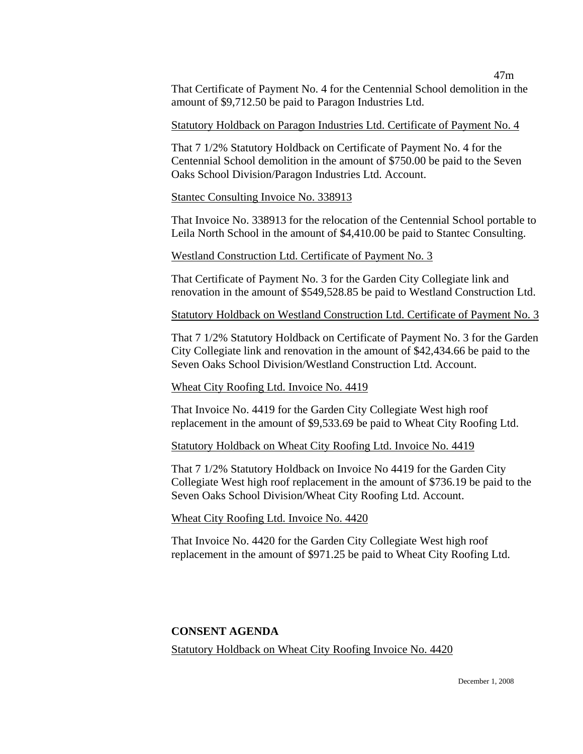That Certificate of Payment No. 4 for the Centennial School demolition in the amount of \$9,712.50 be paid to Paragon Industries Ltd.

#### Statutory Holdback on Paragon Industries Ltd. Certificate of Payment No. 4

That 7 1/2% Statutory Holdback on Certificate of Payment No. 4 for the Centennial School demolition in the amount of \$750.00 be paid to the Seven Oaks School Division/Paragon Industries Ltd. Account.

#### Stantec Consulting Invoice No. 338913

That Invoice No. 338913 for the relocation of the Centennial School portable to Leila North School in the amount of \$4,410.00 be paid to Stantec Consulting.

#### Westland Construction Ltd. Certificate of Payment No. 3

That Certificate of Payment No. 3 for the Garden City Collegiate link and renovation in the amount of \$549,528.85 be paid to Westland Construction Ltd.

Statutory Holdback on Westland Construction Ltd. Certificate of Payment No. 3

That 7 1/2% Statutory Holdback on Certificate of Payment No. 3 for the Garden City Collegiate link and renovation in the amount of \$42,434.66 be paid to the Seven Oaks School Division/Westland Construction Ltd. Account.

#### Wheat City Roofing Ltd. Invoice No. 4419

That Invoice No. 4419 for the Garden City Collegiate West high roof replacement in the amount of \$9,533.69 be paid to Wheat City Roofing Ltd.

Statutory Holdback on Wheat City Roofing Ltd. Invoice No. 4419

That 7 1/2% Statutory Holdback on Invoice No 4419 for the Garden City Collegiate West high roof replacement in the amount of \$736.19 be paid to the Seven Oaks School Division/Wheat City Roofing Ltd. Account.

#### Wheat City Roofing Ltd. Invoice No. 4420

That Invoice No. 4420 for the Garden City Collegiate West high roof replacement in the amount of \$971.25 be paid to Wheat City Roofing Ltd.

#### **CONSENT AGENDA**

Statutory Holdback on Wheat City Roofing Invoice No. 4420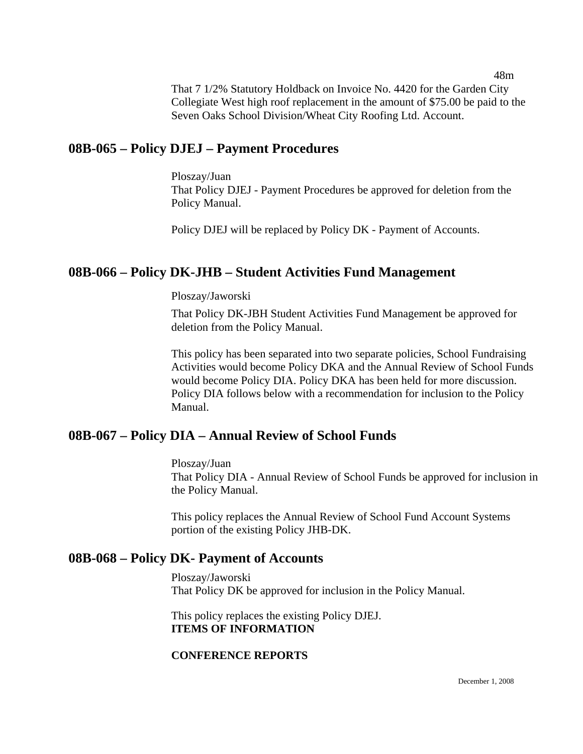That 7 1/2% Statutory Holdback on Invoice No. 4420 for the Garden City Collegiate West high roof replacement in the amount of \$75.00 be paid to the Seven Oaks School Division/Wheat City Roofing Ltd. Account.

# **08B-065 – Policy DJEJ – Payment Procedures**

Ploszay/Juan That Policy DJEJ - Payment Procedures be approved for deletion from the Policy Manual.

Policy DJEJ will be replaced by Policy DK - Payment of Accounts.

# **08B-066 – Policy DK-JHB – Student Activities Fund Management**

Ploszay/Jaworski

That Policy DK-JBH Student Activities Fund Management be approved for deletion from the Policy Manual.

This policy has been separated into two separate policies, School Fundraising Activities would become Policy DKA and the Annual Review of School Funds would become Policy DIA. Policy DKA has been held for more discussion. Policy DIA follows below with a recommendation for inclusion to the Policy Manual.

# **08B-067 – Policy DIA – Annual Review of School Funds**

Ploszay/Juan That Policy DIA - Annual Review of School Funds be approved for inclusion in the Policy Manual.

This policy replaces the Annual Review of School Fund Account Systems portion of the existing Policy JHB-DK.

# **08B-068 – Policy DK- Payment of Accounts**

Ploszay/Jaworski That Policy DK be approved for inclusion in the Policy Manual.

This policy replaces the existing Policy DJEJ. **ITEMS OF INFORMATION** 

### **CONFERENCE REPORTS**

48m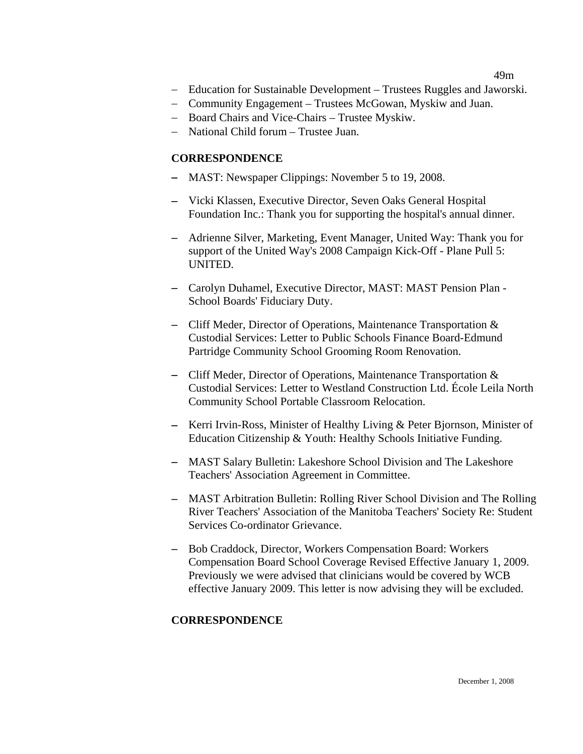#### 49m

- − Education for Sustainable Development Trustees Ruggles and Jaworski.
- − Community Engagement Trustees McGowan, Myskiw and Juan.
- − Board Chairs and Vice-Chairs Trustee Myskiw.
- − National Child forum Trustee Juan.

#### **CORRESPONDENCE**

- − MAST: Newspaper Clippings: November 5 to 19, 2008.
- − Vicki Klassen, Executive Director, Seven Oaks General Hospital Foundation Inc.: Thank you for supporting the hospital's annual dinner.
- − Adrienne Silver, Marketing, Event Manager, United Way: Thank you for support of the United Way's 2008 Campaign Kick-Off - Plane Pull 5: UNITED.
- − Carolyn Duhamel, Executive Director, MAST: MAST Pension Plan School Boards' Fiduciary Duty.
- − Cliff Meder, Director of Operations, Maintenance Transportation & Custodial Services: Letter to Public Schools Finance Board-Edmund Partridge Community School Grooming Room Renovation.
- − Cliff Meder, Director of Operations, Maintenance Transportation & Custodial Services: Letter to Westland Construction Ltd. École Leila North Community School Portable Classroom Relocation.
- − Kerri Irvin-Ross, Minister of Healthy Living & Peter Bjornson, Minister of Education Citizenship & Youth: Healthy Schools Initiative Funding.
- − MAST Salary Bulletin: Lakeshore School Division and The Lakeshore Teachers' Association Agreement in Committee.
- − MAST Arbitration Bulletin: Rolling River School Division and The Rolling River Teachers' Association of the Manitoba Teachers' Society Re: Student Services Co-ordinator Grievance.
- − Bob Craddock, Director, Workers Compensation Board: Workers Compensation Board School Coverage Revised Effective January 1, 2009. Previously we were advised that clinicians would be covered by WCB effective January 2009. This letter is now advising they will be excluded.

#### **CORRESPONDENCE**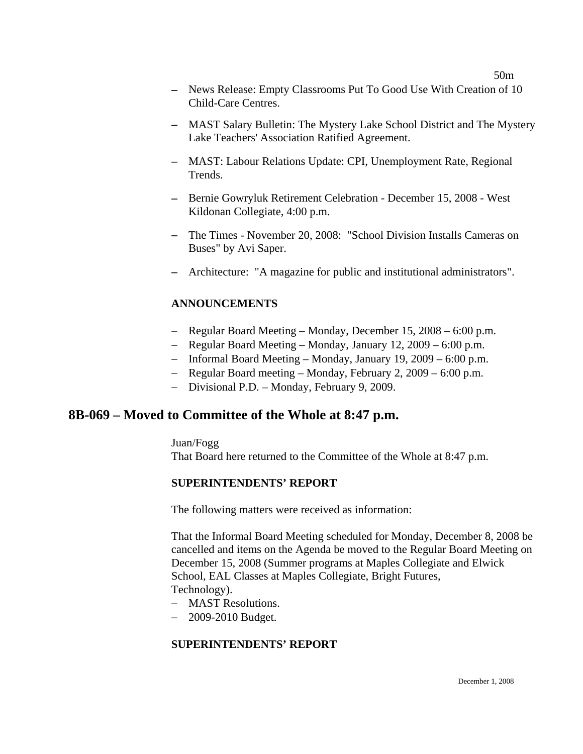- − News Release: Empty Classrooms Put To Good Use With Creation of 10 Child-Care Centres.
- − MAST Salary Bulletin: The Mystery Lake School District and The Mystery Lake Teachers' Association Ratified Agreement.
- − MAST: Labour Relations Update: CPI, Unemployment Rate, Regional Trends.
- − Bernie Gowryluk Retirement Celebration December 15, 2008 West Kildonan Collegiate, 4:00 p.m.
- − The Times November 20, 2008: "School Division Installs Cameras on Buses" by Avi Saper.
- − Architecture: "A magazine for public and institutional administrators".

#### **ANNOUNCEMENTS**

- − Regular Board Meeting Monday, December 15, 2008 6:00 p.m.
- − Regular Board Meeting Monday, January 12, 2009 6:00 p.m.
- − Informal Board Meeting Monday, January 19, 2009 6:00 p.m.
- − Regular Board meeting Monday, February 2, 2009 6:00 p.m.
- − Divisional P.D. Monday, February 9, 2009.

# **8B-069 – Moved to Committee of the Whole at 8:47 p.m.**

Juan/Fogg

That Board here returned to the Committee of the Whole at 8:47 p.m.

#### **SUPERINTENDENTS' REPORT**

The following matters were received as information:

That the Informal Board Meeting scheduled for Monday, December 8, 2008 be cancelled and items on the Agenda be moved to the Regular Board Meeting on December 15, 2008 (Summer programs at Maples Collegiate and Elwick School, EAL Classes at Maples Collegiate, Bright Futures, Technology).

- − MAST Resolutions.
- − 2009-2010 Budget.

### **SUPERINTENDENTS' REPORT**